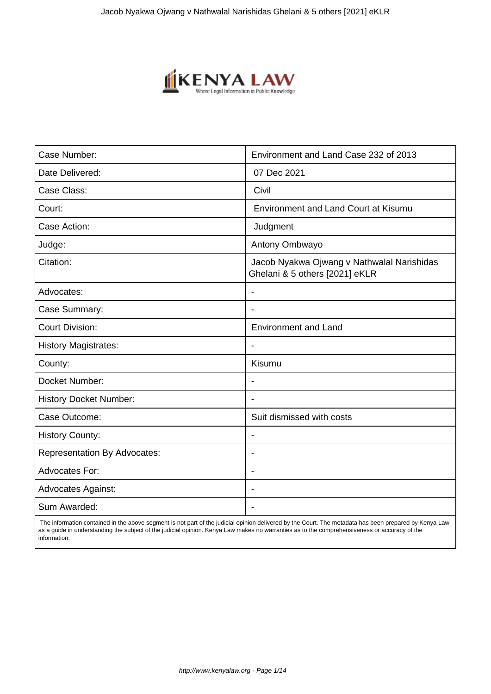

| Case Number:                        | Environment and Land Case 232 of 2013                                        |
|-------------------------------------|------------------------------------------------------------------------------|
| Date Delivered:                     | 07 Dec 2021                                                                  |
| Case Class:                         | Civil                                                                        |
| Court:                              | <b>Environment and Land Court at Kisumu</b>                                  |
| Case Action:                        | Judgment                                                                     |
| Judge:                              | Antony Ombwayo                                                               |
| Citation:                           | Jacob Nyakwa Ojwang v Nathwalal Narishidas<br>Ghelani & 5 others [2021] eKLR |
| Advocates:                          |                                                                              |
| Case Summary:                       |                                                                              |
| <b>Court Division:</b>              | <b>Environment and Land</b>                                                  |
| <b>History Magistrates:</b>         | $\blacksquare$                                                               |
| County:                             | Kisumu                                                                       |
| Docket Number:                      |                                                                              |
| <b>History Docket Number:</b>       |                                                                              |
| Case Outcome:                       | Suit dismissed with costs                                                    |
| <b>History County:</b>              | $\blacksquare$                                                               |
| <b>Representation By Advocates:</b> | $\overline{\phantom{a}}$                                                     |
| <b>Advocates For:</b>               | $\overline{\phantom{a}}$                                                     |
| <b>Advocates Against:</b>           |                                                                              |
| Sum Awarded:                        |                                                                              |

 The information contained in the above segment is not part of the judicial opinion delivered by the Court. The metadata has been prepared by Kenya Law as a guide in understanding the subject of the judicial opinion. Kenya Law makes no warranties as to the comprehensiveness or accuracy of the information.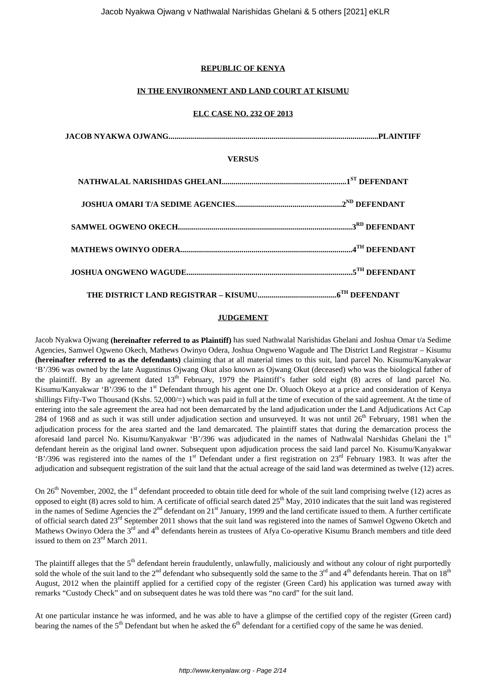## **REPUBLIC OF KENYA**

## **IN THE ENVIRONMENT AND LAND COURT AT KISUMU**

## **ELC CASE NO. 232 OF 2013**

| <b>VERSUS</b> |  |
|---------------|--|
|               |  |
|               |  |
|               |  |
|               |  |
|               |  |
|               |  |

## **JUDGEMENT**

Jacob Nyakwa Ojwang **(hereinafter referred to as Plaintiff)** has sued Nathwalal Narishidas Ghelani and Joshua Omar t/a Sedime Agencies, Samwel Ogweno Okech, Mathews Owinyo Odera, Joshua Ongweno Wagude and The District Land Registrar – Kisumu **(hereinafter referred to as the defendants)** claiming that at all material times to this suit, land parcel No. Kisumu/Kanyakwar 'B'/396 was owned by the late Augustinus Ojwang Okut also known as Ojwang Okut (deceased) who was the biological father of the plaintiff. By an agreement dated 13<sup>th</sup> February, 1979 the Plaintiff's father sold eight (8) acres of land parcel No. Kisumu/Kanyakwar 'B'/396 to the 1<sup>st</sup> Defendant through his agent one Dr. Oluoch Okeyo at a price and consideration of Kenya shillings Fifty-Two Thousand (Kshs. 52,000/=) which was paid in full at the time of execution of the said agreement. At the time of entering into the sale agreement the area had not been demarcated by the land adjudication under the Land Adjudications Act Cap 284 of 1968 and as such it was still under adjudication section and unsurveyed. It was not until  $26<sup>th</sup>$  February, 1981 when the adjudication process for the area started and the land demarcated. The plaintiff states that during the demarcation process the aforesaid land parcel No. Kisumu/Kanyakwar 'B'/396 was adjudicated in the names of Nathwalal Narshidas Ghelani the  $1<sup>st</sup>$ defendant herein as the original land owner. Subsequent upon adjudication process the said land parcel No. Kisumu/Kanyakwar 'B'/396 was registered into the names of the 1<sup>st</sup> Defendant under a first registration on  $23<sup>rd</sup>$  February 1983. It was after the adjudication and subsequent registration of the suit land that the actual acreage of the said land was determined as twelve (12) acres.

On 26<sup>th</sup> November, 2002, the 1<sup>st</sup> defendant proceeded to obtain title deed for whole of the suit land comprising twelve (12) acres as opposed to eight (8) acres sold to him. A certificate of official search dated  $25<sup>th</sup>$  May, 2010 indicates that the suit land was registered in the names of Sedime Agencies the  $2<sup>nd</sup>$  defendant on  $21<sup>st</sup>$  January, 1999 and the land certificate issued to them. A further certificate of official search dated 23rd September 2011 shows that the suit land was registered into the names of Samwel Ogweno Oketch and Mathews Owinvo Odera the  $3^{rd}$  and  $4^{th}$  defendants herein as trustees of Afya Co-operative Kisumu Branch members and title deed issued to them on 23rd March 2011.

The plaintiff alleges that the 5<sup>th</sup> defendant herein fraudulently, unlawfully, maliciously and without any colour of right purportedly sold the whole of the suit land to the  $2<sup>nd</sup>$  defendant who subsequently sold the same to the  $3<sup>rd</sup>$  and  $4<sup>th</sup>$  defendants herein. That on  $18<sup>th</sup>$ August, 2012 when the plaintiff applied for a certified copy of the register (Green Card) his application was turned away with remarks "Custody Check" and on subsequent dates he was told there was "no card" for the suit land.

At one particular instance he was informed, and he was able to have a glimpse of the certified copy of the register (Green card) bearing the names of the 5<sup>th</sup> Defendant but when he asked the 6<sup>th</sup> defendant for a certified copy of the same he was denied.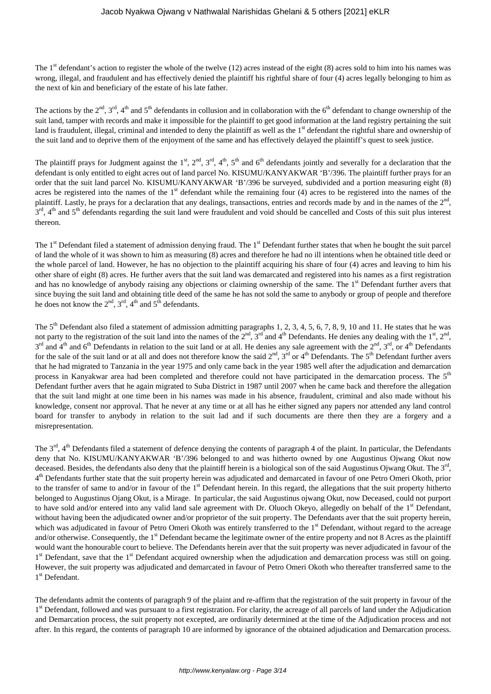The  $1<sup>st</sup>$  defendant's action to register the whole of the twelve (12) acres instead of the eight (8) acres sold to him into his names was wrong, illegal, and fraudulent and has effectively denied the plaintiff his rightful share of four (4) acres legally belonging to him as the next of kin and beneficiary of the estate of his late father.

The actions by the  $2^{nd}$ ,  $3^{rd}$ ,  $4^{th}$  and  $5^{th}$  defendants in collusion and in collaboration with the  $6^{th}$  defendant to change ownership of the suit land, tamper with records and make it impossible for the plaintiff to get good information at the land registry pertaining the suit land is fraudulent, illegal, criminal and intended to deny the plaintiff as well as the 1<sup>st</sup> defendant the rightful share and ownership of the suit land and to deprive them of the enjoyment of the same and has effectively delayed the plaintiff's quest to seek justice.

The plaintiff prays for Judgment against the 1<sup>st</sup>, 2<sup>nd</sup>, 3<sup>rd</sup>, 4<sup>th</sup>, 5<sup>th</sup> and 6<sup>th</sup> defendants jointly and severally for a declaration that the defendant is only entitled to eight acres out of land parcel No. KISUMU/KANYAKWAR 'B'/396. The plaintiff further prays for an order that the suit land parcel No. KISUMU/KANYAKWAR 'B'/396 be surveyed, subdivided and a portion measuring eight (8) acres be registered into the names of the  $1<sup>st</sup>$  defendant while the remaining four (4) acres to be registered into the names of the plaintiff. Lastly, he prays for a declaration that any dealings, transactions, entries and records made by and in the names of the  $2<sup>nd</sup>$ , 3<sup>rd</sup>, 4<sup>th</sup> and 5<sup>th</sup> defendants regarding the suit land were fraudulent and void should be cancelled and Costs of this suit plus interest thereon.

The 1<sup>st</sup> Defendant filed a statement of admission denying fraud. The 1<sup>st</sup> Defendant further states that when he bought the suit parcel of land the whole of it was shown to him as measuring (8) acres and therefore he had no ill intentions when he obtained title deed or the whole parcel of land. However, he has no objection to the plaintiff acquiring his share of four (4) acres and leaving to him his other share of eight (8) acres. He further avers that the suit land was demarcated and registered into his names as a first registration and has no knowledge of anybody raising any objections or claiming ownership of the same. The 1<sup>st</sup> Defendant further avers that since buying the suit land and obtaining title deed of the same he has not sold the same to anybody or group of people and therefore he does not know the  $2<sup>nd</sup>$ ,  $3<sup>rd</sup>$ ,  $4<sup>th</sup>$  and  $5<sup>th</sup>$  defendants.

The  $5<sup>th</sup>$  Defendant also filed a statement of admission admitting paragraphs 1, 2, 3, 4, 5, 6, 7, 8, 9, 10 and 11. He states that he was not party to the registration of the suit land into the names of the  $2^{nd}$ ,  $3^{rd}$  and  $4^{th}$  Defendants. He denies any dealing with the  $1^{st}$ ,  $2^{nd}$ ,  $3^{rd}$  and  $4^{th}$  and  $6^{th}$  Defendants in relation to the suit land or at all. He denies any sale agreement with the  $2^{nd}$ ,  $3^{rd}$ , or  $4^{th}$  Defendants for the sale of the suit land or at all and does not therefore know the said  $2<sup>nd</sup>$ ,  $3<sup>rd</sup>$  or  $4<sup>th</sup>$  Defendants. The  $5<sup>th</sup>$  Defendant further avers that he had migrated to Tanzania in the year 1975 and only came back in the year 1985 well after the adjudication and demarcation process in Kanyakwar area had been completed and therefore could not have participated in the demarcation process. The 5<sup>th</sup> Defendant further avers that he again migrated to Suba District in 1987 until 2007 when he came back and therefore the allegation that the suit land might at one time been in his names was made in his absence, fraudulent, criminal and also made without his knowledge, consent nor approval. That he never at any time or at all has he either signed any papers nor attended any land control board for transfer to anybody in relation to the suit lad and if such documents are there then they are a forgery and a misrepresentation.

The  $3<sup>rd</sup>$ ,  $4<sup>th</sup>$  Defendants filed a statement of defence denying the contents of paragraph 4 of the plaint. In particular, the Defendants deny that No. KISUMU/KANYAKWAR 'B'/396 belonged to and was hitherto owned by one Augustinus Ojwang Okut now deceased. Besides, the defendants also deny that the plaintiff herein is a biological son of the said Augustinus Ojwang Okut. The 3<sup>rd</sup>, 4<sup>th</sup> Defendants further state that the suit property herein was adjudicated and demarcated in favour of one Petro Omeri Okoth, prior to the transfer of same to and/or in favour of the  $1<sup>st</sup>$  Defendant herein. In this regard, the allegations that the suit property hitherto belonged to Augustinus Ojang Okut, is a Mirage. In particular, the said Augustinus ojwang Okut, now Deceased, could not purport to have sold and/or entered into any valid land sale agreement with Dr. Oluoch Okeyo, allegedly on behalf of the 1<sup>st</sup> Defendant, without having been the adjudicated owner and/or proprietor of the suit property. The Defendants aver that the suit property herein, which was adjudicated in favour of Petro Omeri Okoth was entirely transferred to the 1<sup>st</sup> Defendant, without regard to the acreage and/or otherwise. Consequently, the 1<sup>st</sup> Defendant became the legitimate owner of the entire property and not 8 Acres as the plaintiff would want the honourable court to believe. The Defendants herein aver that the suit property was never adjudicated in favour of the 1<sup>st</sup> Defendant, save that the 1<sup>st</sup> Defendant acquired ownership when the adjudication and demarcation process was still on going. However, the suit property was adjudicated and demarcated in favour of Petro Omeri Okoth who thereafter transferred same to the 1<sup>st</sup> Defendant.

The defendants admit the contents of paragraph 9 of the plaint and re-affirm that the registration of the suit property in favour of the 1<sup>st</sup> Defendant, followed and was pursuant to a first registration. For clarity, the acreage of all parcels of land under the Adjudication and Demarcation process, the suit property not excepted, are ordinarily determined at the time of the Adjudication process and not after. In this regard, the contents of paragraph 10 are informed by ignorance of the obtained adjudication and Demarcation process.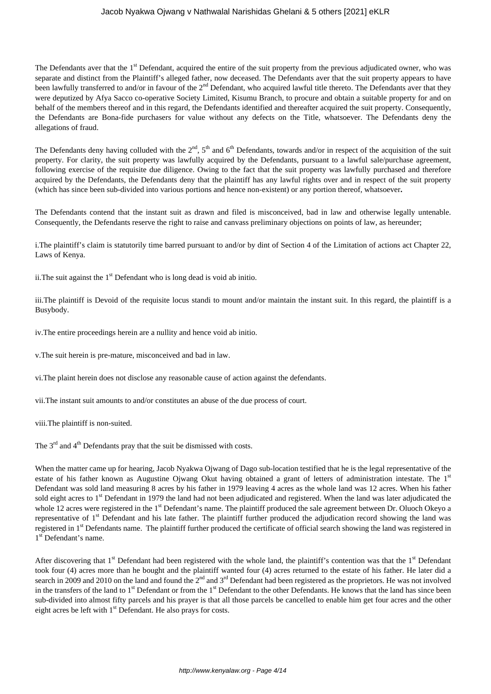The Defendants aver that the  $1<sup>st</sup>$  Defendant, acquired the entire of the suit property from the previous adjudicated owner, who was separate and distinct from the Plaintiff's alleged father, now deceased. The Defendants aver that the suit property appears to have been lawfully transferred to and/or in favour of the  $2<sup>nd</sup>$  Defendant, who acquired lawful title thereto. The Defendants aver that they were deputized by Afya Sacco co-operative Society Limited, Kisumu Branch, to procure and obtain a suitable property for and on behalf of the members thereof and in this regard, the Defendants identified and thereafter acquired the suit property. Consequently, the Defendants are Bona-fide purchasers for value without any defects on the Title, whatsoever. The Defendants deny the allegations of fraud.

The Defendants deny having colluded with the  $2<sup>nd</sup>$ ,  $5<sup>th</sup>$  and  $6<sup>th</sup>$  Defendants, towards and/or in respect of the acquisition of the suit property. For clarity, the suit property was lawfully acquired by the Defendants, pursuant to a lawful sale/purchase agreement, following exercise of the requisite due diligence. Owing to the fact that the suit property was lawfully purchased and therefore acquired by the Defendants, the Defendants deny that the plaintiff has any lawful rights over and in respect of the suit property (which has since been sub-divided into various portions and hence non-existent) or any portion thereof, whatsoever**.**

The Defendants contend that the instant suit as drawn and filed is misconceived, bad in law and otherwise legally untenable. Consequently, the Defendants reserve the right to raise and canvass preliminary objections on points of law, as hereunder;

i.The plaintiff's claim is statutorily time barred pursuant to and/or by dint of Section 4 of the Limitation of actions act Chapter 22, Laws of Kenya.

ii. The suit against the  $1<sup>st</sup>$  Defendant who is long dead is void ab initio.

iii.The plaintiff is Devoid of the requisite locus standi to mount and/or maintain the instant suit. In this regard, the plaintiff is a Busybody.

iv.The entire proceedings herein are a nullity and hence void ab initio.

v.The suit herein is pre-mature, misconceived and bad in law.

vi.The plaint herein does not disclose any reasonable cause of action against the defendants.

vii.The instant suit amounts to and/or constitutes an abuse of the due process of court.

viii.The plaintiff is non-suited.

The  $3<sup>rd</sup>$  and  $4<sup>th</sup>$  Defendants pray that the suit be dismissed with costs.

When the matter came up for hearing, Jacob Nyakwa Ojwang of Dago sub-location testified that he is the legal representative of the estate of his father known as Augustine Ojwang Okut having obtained a grant of letters of administration intestate. The 1st Defendant was sold land measuring 8 acres by his father in 1979 leaving 4 acres as the whole land was 12 acres. When his father sold eight acres to 1<sup>st</sup> Defendant in 1979 the land had not been adjudicated and registered. When the land was later adjudicated the whole 12 acres were registered in the 1<sup>st</sup> Defendant's name. The plaintiff produced the sale agreement between Dr. Oluoch Okeyo a representative of 1<sup>st</sup> Defendant and his late father. The plaintiff further produced the adjudication record showing the land was registered in 1<sup>st</sup> Defendants name. The plaintiff further produced the certificate of official search showing the land was registered in 1<sup>st</sup> Defendant's name.

After discovering that  $1<sup>st</sup>$  Defendant had been registered with the whole land, the plaintiff's contention was that the  $1<sup>st</sup>$  Defendant took four (4) acres more than he bought and the plaintiff wanted four (4) acres returned to the estate of his father. He later did a search in 2009 and 2010 on the land and found the  $2<sup>nd</sup>$  and  $3<sup>rd</sup>$  Defendant had been registered as the proprietors. He was not involved in the transfers of the land to 1<sup>st</sup> Defendant or from the 1<sup>st</sup> Defendant to the other Defendants. He knows that the land has since been sub-divided into almost fifty parcels and his prayer is that all those parcels be cancelled to enable him get four acres and the other eight acres be left with  $1<sup>st</sup>$  Defendant. He also prays for costs.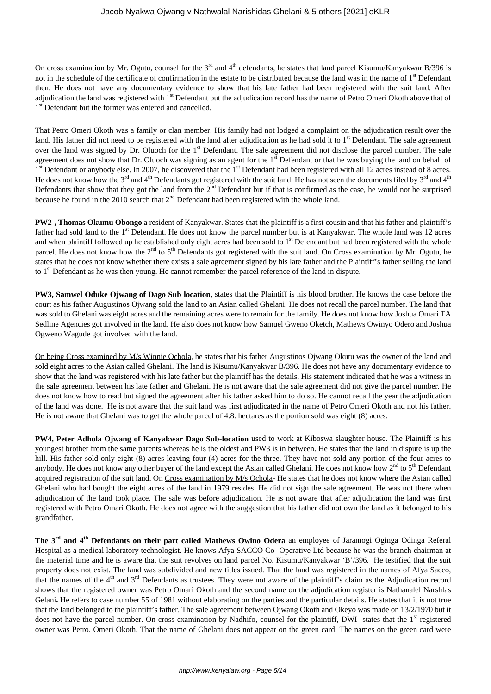On cross examination by Mr. Ogutu, counsel for the  $3^{rd}$  and  $4^{th}$  defendants, he states that land parcel Kisumu/Kanyakwar B/396 is not in the schedule of the certificate of confirmation in the estate to be distributed because the land was in the name of 1<sup>st</sup> Defendant then. He does not have any documentary evidence to show that his late father had been registered with the suit land. After adjudication the land was registered with 1<sup>st</sup> Defendant but the adjudication record has the name of Petro Omeri Okoth above that of 1<sup>st</sup> Defendant but the former was entered and cancelled.

That Petro Omeri Okoth was a family or clan member. His family had not lodged a complaint on the adjudication result over the land. His father did not need to be registered with the land after adjudication as he had sold it to  $1<sup>st</sup>$  Defendant. The sale agreement over the land was signed by Dr. Oluoch for the 1<sup>st</sup> Defendant. The sale agreement did not disclose the parcel number. The sale agreement does not show that Dr. Oluoch was signing as an agent for the 1<sup>st</sup> Defendant or that he was buying the land on behalf of 1<sup>st</sup> Defendant or anybody else. In 2007, he discovered that the 1<sup>st</sup> Defendant had been registered with all 12 acres instead of 8 acres. He does not know how the  $3^{rd}$  and  $4^{th}$  Defendants got registered with the suit land. He has not seen the documents filed by  $3^{rd}$  and  $4^{th}$ Defendants that show that they got the land from the  $2<sup>nd</sup>$  Defendant but if that is confirmed as the case, he would not be surprised because he found in the 2010 search that 2<sup>nd</sup> Defendant had been registered with the whole land.

**PW2-, Thomas Okumu Obongo** a resident of Kanyakwar. States that the plaintiff is a first cousin and that his father and plaintiff's father had sold land to the 1<sup>st</sup> Defendant. He does not know the parcel number but is at Kanyakwar. The whole land was 12 acres and when plaintiff followed up he established only eight acres had been sold to  $1<sup>st</sup>$  Defendant but had been registered with the whole parcel. He does not know how the  $2<sup>nd</sup>$  to  $5<sup>th</sup>$  Defendants got registered with the suit land. On Cross examination by Mr. Ogutu, he states that he does not know whether there exists a sale agreement signed by his late father and the Plaintiff's father selling the land to 1<sup>st</sup> Defendant as he was then young. He cannot remember the parcel reference of the land in dispute.

**PW3, Samwel Oduke Ojwang of Dago Sub location,** states that the Plaintiff is his blood brother. He knows the case before the court as his father Augustinos Ojwang sold the land to an Asian called Ghelani. He does not recall the parcel number. The land that was sold to Ghelani was eight acres and the remaining acres were to remain for the family. He does not know how Joshua Omari TA Sedline Agencies got involved in the land. He also does not know how Samuel Gweno Oketch, Mathews Owinyo Odero and Joshua Ogweno Wagude got involved with the land.

On being Cross examined by M/s Winnie Ochola, he states that his father Augustinos Ojwang Okutu was the owner of the land and sold eight acres to the Asian called Ghelani. The land is Kisumu/Kanyakwar B/396. He does not have any documentary evidence to show that the land was registered with his late father but the plaintiff has the details. His statement indicated that he was a witness in the sale agreement between his late father and Ghelani. He is not aware that the sale agreement did not give the parcel number. He does not know how to read but signed the agreement after his father asked him to do so. He cannot recall the year the adjudication of the land was done. He is not aware that the suit land was first adjudicated in the name of Petro Omeri Okoth and not his father. He is not aware that Ghelani was to get the whole parcel of 4.8. hectares as the portion sold was eight (8) acres.

**PW4, Peter Adhola Ojwang of Kanyakwar Dago Sub-location** used to work at Kiboswa slaughter house. The Plaintiff is his youngest brother from the same parents whereas he is the oldest and PW3 is in between. He states that the land in dispute is up the hill. His father sold only eight (8) acres leaving four (4) acres for the three. They have not sold any portion of the four acres to anybody. He does not know any other buyer of the land except the Asian called Ghelani. He does not know how 2<sup>nd</sup> to 5<sup>th</sup> Defendant acquired registration of the suit land. On Cross examination by M/s Ochola- He states that he does not know where the Asian called Ghelani who had bought the eight acres of the land in 1979 resides. He did not sign the sale agreement. He was not there when adjudication of the land took place. The sale was before adjudication. He is not aware that after adjudication the land was first registered with Petro Omari Okoth. He does not agree with the suggestion that his father did not own the land as it belonged to his grandfather.

**The 3rd and 4th Defendants on their part called Mathews Owino Odera** an employee of Jaramogi Oginga Odinga Referal Hospital as a medical laboratory technologist. He knows Afya SACCO Co- Operative Ltd because he was the branch chairman at the material time and he is aware that the suit revolves on land parcel No. Kisumu/Kanyakwar 'B'/396. He testified that the suit property does not exist. The land was subdivided and new titles issued. That the land was registered in the names of Afya Sacco, that the names of the  $4<sup>th</sup>$  and  $3<sup>rd</sup>$  Defendants as trustees. They were not aware of the plaintiff's claim as the Adjudication record shows that the registered owner was Petro Omari Okoth and the second name on the adjudication register is Nathanalel Narshlas Gelani. He refers to case number 55 of 1981 without elaborating on the parties and the particular details. He states that it is not true that the land belonged to the plaintiff's father. The sale agreement between Ojwang Okoth and Okeyo was made on 13/2/1970 but it does not have the parcel number. On cross examination by Nadhifo, counsel for the plaintiff, DWI states that the  $1<sup>st</sup>$  registered owner was Petro. Omeri Okoth. That the name of Ghelani does not appear on the green card. The names on the green card were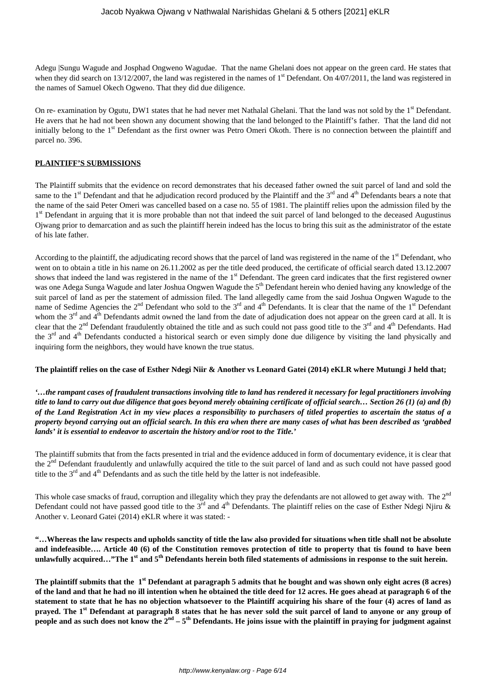Adegu |Sungu Wagude and Josphad Ongweno Wagudae. That the name Ghelani does not appear on the green card. He states that when they did search on 13/12/2007, the land was registered in the names of  $1<sup>st</sup>$  Defendant. On  $4/07/2011$ , the land was registered in the names of Samuel Okech Ogweno. That they did due diligence.

On re- examination by Ogutu, DW1 states that he had never met Nathalal Ghelani. That the land was not sold by the 1<sup>st</sup> Defendant. He avers that he had not been shown any document showing that the land belonged to the Plaintiff's father. That the land did not initially belong to the 1<sup>st</sup> Defendant as the first owner was Petro Omeri Okoth. There is no connection between the plaintiff and parcel no. 396.

## **PLAINTIFF'S SUBMISSIONS**

The Plaintiff submits that the evidence on record demonstrates that his deceased father owned the suit parcel of land and sold the same to the 1<sup>st</sup> Defendant and that he adjudication record produced by the Plaintiff and the  $3<sup>rd</sup>$  and  $4<sup>th</sup>$  Defendants bears a note that the name of the said Peter Omeri was cancelled based on a case no. 55 of 1981. The plaintiff relies upon the admission filed by the 1<sup>st</sup> Defendant in arguing that it is more probable than not that indeed the suit parcel of land belonged to the deceased Augustinus Ojwang prior to demarcation and as such the plaintiff herein indeed has the locus to bring this suit as the administrator of the estate of his late father.

According to the plaintiff, the adjudicating record shows that the parcel of land was registered in the name of the 1<sup>st</sup> Defendant, who went on to obtain a title in his name on 26.11.2002 as per the title deed produced, the certificate of official search dated 13.12.2007 shows that indeed the land was registered in the name of the 1<sup>st</sup> Defendant. The green card indicates that the first registered owner was one Adega Sunga Wagude and later Joshua Ongwen Wagude the 5<sup>th</sup> Defendant herein who denied having any knowledge of the suit parcel of land as per the statement of admission filed. The land allegedly came from the said Joshua Ongwen Wagude to the name of Sedime Agencies the 2<sup>nd</sup> Defendant who sold to the 3<sup>rd</sup> and 4<sup>th</sup> Defendants. It is clear that the name of the 1<sup>st</sup> Defendant whom the  $3<sup>rd</sup>$  and  $4<sup>th</sup>$  Defendants admit owned the land from the date of adjudication does not appear on the green card at all. It is clear that the 2<sup>nd</sup> Defendant fraudulently obtained the title and as such could not pass good title to the 3<sup>rd</sup> and 4<sup>th</sup> Defendants. Had the  $3<sup>rd</sup>$  and  $4<sup>th</sup>$  Defendants conducted a historical search or even simply done due diligence by visiting the land physically and inquiring form the neighbors, they would have known the true status.

#### **The plaintiff relies on the case of Esther Ndegi Niir & Another vs Leonard Gatei (2014) eKLR where Mutungi J held that;**

*'…the rampant cases of fraudulent transactions involving title to land has rendered it necessary for legal practitioners involving title to land to carry out due diligence that goes beyond merely obtaining certificate of official search… Section 26 (1) (a) and (b) of the Land Registration Act in my view places a responsibility to purchasers of titled properties to ascertain the status of a property beyond carrying out an official search. In this era when there are many cases of what has been described as 'grabbed lands' it is essential to endeavor to ascertain the history and/or root to the Title.'*

The plaintiff submits that from the facts presented in trial and the evidence adduced in form of documentary evidence, it is clear that the 2<sup>nd</sup> Defendant fraudulently and unlawfully acquired the title to the suit parcel of land and as such could not have passed good title to the  $3<sup>rd</sup>$  and  $4<sup>th</sup>$  Defendants and as such the title held by the latter is not indefeasible.

This whole case smacks of fraud, corruption and illegality which they pray the defendants are not allowed to get away with. The 2<sup>nd</sup> Defendant could not have passed good title to the  $3^{rd}$  and  $4^{th}$  Defendants. The plaintiff relies on the case of Esther Ndegi Njiru & Another v. Leonard Gatei (2014) eKLR where it was stated: -

**"…Whereas the law respects and upholds sanctity of title the law also provided for situations when title shall not be absolute and indefeasible…. Article 40 (6) of the Constitution removes protection of title to property that tis found to have been unlawfully acquired…"The 1st and 5th Defendants herein both filed statements of admissions in response to the suit herein.**

The plaintiff submits that the 1<sup>st</sup> Defendant at paragraph 5 admits that he bought and was shown only eight acres (8 acres) **of the land and that he had no ill intention when he obtained the title deed for 12 acres. He goes ahead at paragraph 6 of the statement to state that he has no objection whatsoever to the Plaintiff acquiring his share of the four (4) acres of land as prayed. The 1st Defendant at paragraph 8 states that he has never sold the suit parcel of land to anyone or any group of people and as such does not know the**  $2^{nd}$  **–**  $5^{th}$  **Defendants. He joins issue with the plaintiff in praying for judgment against**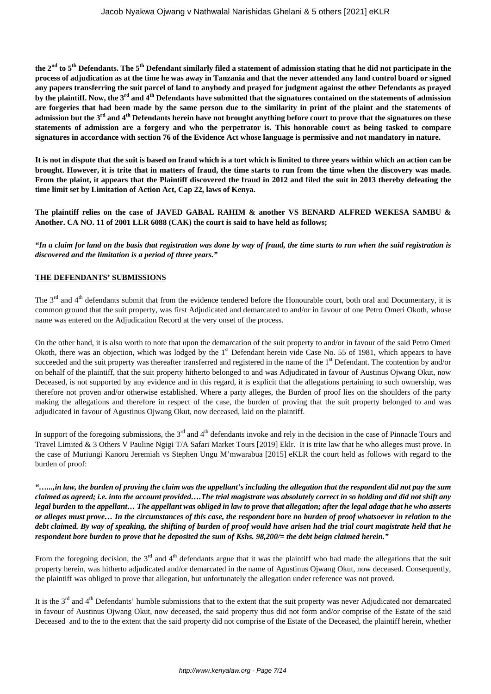**the 2nd to 5th Defendants. The 5th Defendant similarly filed a statement of admission stating that he did not participate in the process of adjudication as at the time he was away in Tanzania and that the never attended any land control board or signed any papers transferring the suit parcel of land to anybody and prayed for judgment against the other Defendants as prayed by the plaintiff. Now, the 3rd and 4th Defendants have submitted that the signatures contained on the statements of admission are forgeries that had been made by the same person due to the similarity in print of the plaint and the statements of admission but the 3rd and 4th Defendants herein have not brought anything before court to prove that the signatures on these statements of admission are a forgery and who the perpetrator is. This honorable court as being tasked to compare signatures in accordance with section 76 of the Evidence Act whose language is permissive and not mandatory in nature.** 

**It is not in dispute that the suit is based on fraud which is a tort which is limited to three years within which an action can be brought. However, it is trite that in matters of fraud, the time starts to run from the time when the discovery was made. From the plaint, it appears that the Plaintiff discovered the fraud in 2012 and filed the suit in 2013 thereby defeating the time limit set by Limitation of Action Act, Cap 22, laws of Kenya.**

**The plaintiff relies on the case of JAVED GABAL RAHIM & another VS BENARD ALFRED WEKESA SAMBU & Another. CA NO. 11 of 2001 LLR 6088 (CAK) the court is said to have held as follows;**

*"In a claim for land on the basis that registration was done by way of fraud, the time starts to run when the said registration is discovered and the limitation is a period of three years."*

## **THE DEFENDANTS' SUBMISSIONS**

The  $3<sup>rd</sup>$  and  $4<sup>th</sup>$  defendants submit that from the evidence tendered before the Honourable court, both oral and Documentary, it is common ground that the suit property, was first Adjudicated and demarcated to and/or in favour of one Petro Omeri Okoth, whose name was entered on the Adjudication Record at the very onset of the process.

On the other hand, it is also worth to note that upon the demarcation of the suit property to and/or in favour of the said Petro Omeri Okoth, there was an objection, which was lodged by the  $1<sup>st</sup>$  Defendant herein vide Case No. 55 of 1981, which appears to have succeeded and the suit property was thereafter transferred and registered in the name of the 1<sup>st</sup> Defendant. The contention by and/or on behalf of the plaintiff, that the suit property hitherto belonged to and was Adjudicated in favour of Austinus Ojwang Okut, now Deceased, is not supported by any evidence and in this regard, it is explicit that the allegations pertaining to such ownership, was therefore not proven and/or otherwise established. Where a party alleges, the Burden of proof lies on the shoulders of the party making the allegations and therefore in respect of the case, the burden of proving that the suit property belonged to and was adjudicated in favour of Agustinus Ojwang Okut, now deceased, laid on the plaintiff.

In support of the foregoing submissions, the  $3<sup>rd</sup>$  and  $4<sup>th</sup>$  defendants invoke and rely in the decision in the case of Pinnacle Tours and Travel Limited & 3 Others V Pauline Ngigi T/A Safari Market Tours [2019] Eklr. It is trite law that he who alleges must prove. In the case of Muriungi Kanoru Jeremiah vs Stephen Ungu M'mwarabua [2015] eKLR the court held as follows with regard to the burden of proof:

*"…...,in law, the burden of proving the claim was the appellant's including the allegation that the respondent did not pay the sum claimed as agreed; i.e. into the account provided….The trial magistrate was absolutely correct in so holding and did not shift any legal burden to the appellant… The appellant was obliged in law to prove that allegation; after the legal adage that he who asserts or alleges must prove… In the circumstances of this case, the respondent bore no burden of proof whatsoever in relation to the debt claimed. By way of speaking, the shifting of burden of proof would have arisen had the trial court magistrate held that he respondent bore burden to prove that he deposited the sum of Kshs. 98,200/= the debt beign claimed herein."*

From the foregoing decision, the  $3<sup>rd</sup>$  and  $4<sup>th</sup>$  defendants argue that it was the plaintiff who had made the allegations that the suit property herein, was hitherto adjudicated and/or demarcated in the name of Agustinus Ojwang Okut, now deceased. Consequently, the plaintiff was obliged to prove that allegation, but unfortunately the allegation under reference was not proved.

It is the  $3<sup>rd</sup>$  and  $4<sup>th</sup>$  Defendants' humble submissions that to the extent that the suit property was never Adjudicated nor demarcated in favour of Austinus Ojwang Okut, now deceased, the said property thus did not form and/or comprise of the Estate of the said Deceased and to the to the extent that the said property did not comprise of the Estate of the Deceased, the plaintiff herein, whether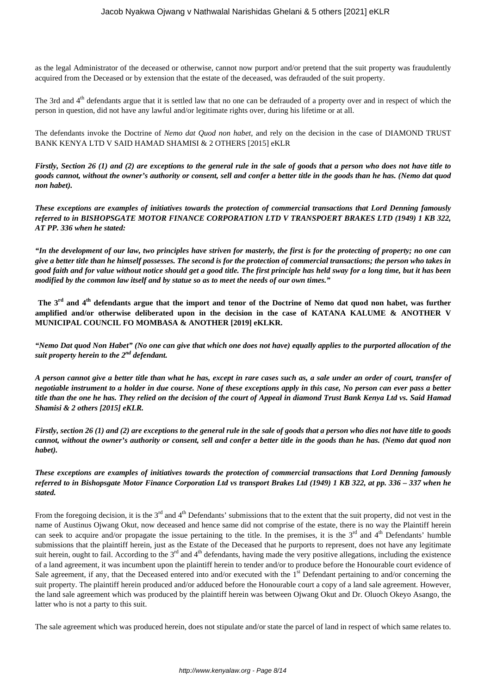as the legal Administrator of the deceased or otherwise, cannot now purport and/or pretend that the suit property was fraudulently acquired from the Deceased or by extension that the estate of the deceased, was defrauded of the suit property.

The 3rd and  $4<sup>th</sup>$  defendants argue that it is settled law that no one can be defrauded of a property over and in respect of which the person in question, did not have any lawful and/or legitimate rights over, during his lifetime or at all.

The defendants invoke the Doctrine of *Nemo dat Quod non habet*, and rely on the decision in the case of DIAMOND TRUST BANK KENYA LTD V SAID HAMAD SHAMISI & 2 OTHERS [2015] eKLR

*Firstly, Section 26 (1) and (2) are exceptions to the general rule in the sale of goods that a person who does not have title to goods cannot, without the owner's authority or consent, sell and confer a better title in the goods than he has. (Nemo dat quod non habet).*

*These exceptions are examples of initiatives towards the protection of commercial transactions that Lord Denning famously referred to in BISHOPSGATE MOTOR FINANCE CORPORATION LTD V TRANSPOERT BRAKES LTD (1949) 1 KB 322, AT PP. 336 when he stated:*

*"In the development of our law, two principles have striven for masterly, the first is for the protecting of property; no one can give a better title than he himself possesses. The second is for the protection of commercial transactions; the person who takes in good faith and for value without notice should get a good title. The first principle has held sway for a long time, but it has been modified by the common law itself and by statue so as to meet the needs of our own times."*

**The 3rd and 4th defendants argue that the import and tenor of the Doctrine of Nemo dat quod non habet, was further amplified and/or otherwise deliberated upon in the decision in the case of KATANA KALUME & ANOTHER V MUNICIPAL COUNCIL FO MOMBASA & ANOTHER [2019] eKLKR.**

*"Nemo Dat quod Non Habet" (No one can give that which one does not have) equally applies to the purported allocation of the suit property herein to the 2nd defendant.*

*A person cannot give a better title than what he has, except in rare cases such as, a sale under an order of court, transfer of negotiable instrument to a holder in due course. None of these exceptions apply in this case, No person can ever pass a better title than the one he has. They relied on the decision of the court of Appeal in diamond Trust Bank Kenya Ltd vs. Said Hamad Shamisi & 2 others [2015] eKLR.*

*Firstly, section 26 (1) and (2) are exceptions to the general rule in the sale of goods that a person who dies not have title to goods cannot, without the owner's authority or consent, sell and confer a better title in the goods than he has. (Nemo dat quod non habet).*

*These exceptions are examples of initiatives towards the protection of commercial transactions that Lord Denning famously referred to in Bishopsgate Motor Finance Corporation Ltd vs transport Brakes Ltd (1949) 1 KB 322, at pp. 336 – 337 when he stated.*

From the foregoing decision, it is the  $3<sup>rd</sup>$  and  $4<sup>th</sup>$  Defendants' submissions that to the extent that the suit property, did not vest in the name of Austinus Ojwang Okut, now deceased and hence same did not comprise of the estate, there is no way the Plaintiff herein can seek to acquire and/or propagate the issue pertaining to the title. In the premises, it is the  $3<sup>rd</sup>$  and  $4<sup>th</sup>$  Defendants' humble submissions that the plaintiff herein, just as the Estate of the Deceased that he purports to represent, does not have any legitimate suit herein, ought to fail. According to the  $3<sup>rd</sup>$  and  $4<sup>th</sup>$  defendants, having made the very positive allegations, including the existence of a land agreement, it was incumbent upon the plaintiff herein to tender and/or to produce before the Honourable court evidence of Sale agreement, if any, that the Deceased entered into and/or executed with the  $1<sup>st</sup>$  Defendant pertaining to and/or concerning the suit property. The plaintiff herein produced and/or adduced before the Honourable court a copy of a land sale agreement. However, the land sale agreement which was produced by the plaintiff herein was between Ojwang Okut and Dr. Oluoch Okeyo Asango, the latter who is not a party to this suit.

The sale agreement which was produced herein, does not stipulate and/or state the parcel of land in respect of which same relates to.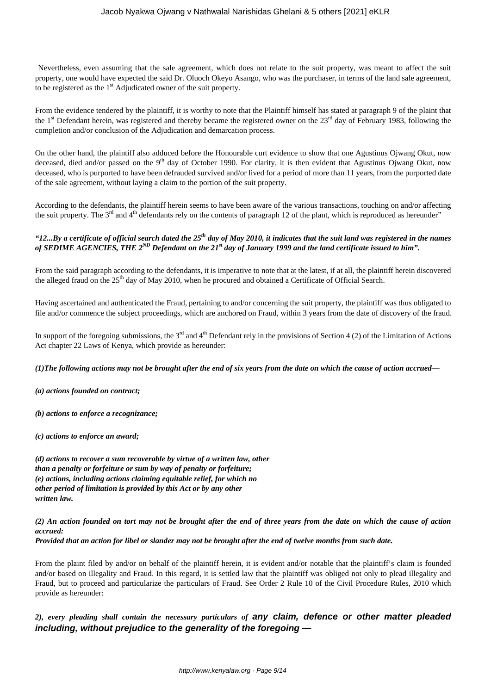Nevertheless, even assuming that the sale agreement, which does not relate to the suit property, was meant to affect the suit property, one would have expected the said Dr. Oluoch Okeyo Asango, who was the purchaser, in terms of the land sale agreement, to be registered as the  $1<sup>st</sup>$  Adjudicated owner of the suit property.

From the evidence tendered by the plaintiff, it is worthy to note that the Plaintiff himself has stated at paragraph 9 of the plaint that the 1<sup>st</sup> Defendant herein, was registered and thereby became the registered owner on the  $23<sup>rd</sup>$  day of February 1983, following the completion and/or conclusion of the Adjudication and demarcation process.

On the other hand, the plaintiff also adduced before the Honourable curt evidence to show that one Agustinus Ojwang Okut, now deceased, died and/or passed on the 9<sup>th</sup> day of October 1990. For clarity, it is then evident that Agustinus Ojwang Okut, now deceased, who is purported to have been defrauded survived and/or lived for a period of more than 11 years, from the purported date of the sale agreement, without laying a claim to the portion of the suit property.

According to the defendants, the plaintiff herein seems to have been aware of the various transactions, touching on and/or affecting the suit property. The  $3<sup>rd</sup>$  and  $4<sup>th</sup>$  defendants rely on the contents of paragraph 12 of the plant, which is reproduced as hereunder"

# *"12...By a certificate of official search dated the 25th day of May 2010, it indicates that the suit land was registered in the names of SEDIME AGENCIES, THE 2ND Defendant on the 21st day of January 1999 and the land certificate issued to him".*

From the said paragraph according to the defendants, it is imperative to note that at the latest, if at all, the plaintiff herein discovered the alleged fraud on the 25<sup>th</sup> day of May 2010, when he procured and obtained a Certificate of Official Search.

Having ascertained and authenticated the Fraud, pertaining to and/or concerning the suit property, the plaintiff was thus obligated to file and/or commence the subject proceedings, which are anchored on Fraud, within 3 years from the date of discovery of the fraud.

In support of the foregoing submissions, the 3<sup>rd</sup> and 4<sup>th</sup> Defendant rely in the provisions of Section 4 (2) of the Limitation of Actions Act chapter 22 Laws of Kenya, which provide as hereunder:

## *(1)The following actions may not be brought after the end of six years from the date on which the cause of action accrued—*

*(a) actions founded on contract;* 

*(b) actions to enforce a recognizance;* 

*(c) actions to enforce an award;* 

*(d) actions to recover a sum recoverable by virtue of a written law, other than a penalty or forfeiture or sum by way of penalty or forfeiture; (e) actions, including actions claiming equitable relief, for which no other period of limitation is provided by this Act or by any other written law.* 

## *(2) An action founded on tort may not be brought after the end of three years from the date on which the cause of action accrued:*

## *Provided that an action for libel or slander may not be brought after the end of twelve months from such date.*

From the plaint filed by and/or on behalf of the plaintiff herein, it is evident and/or notable that the plaintiff's claim is founded and/or based on illegality and Fraud. In this regard, it is settled law that the plaintiff was obliged not only to plead illegality and Fraud, but to proceed and particularize the particulars of Fraud. See Order 2 Rule 10 of the Civil Procedure Rules, 2010 which provide as hereunder:

# *2), every pleading shall contain the necessary particulars of* **any claim, defence or other matter pleaded including, without prejudice to the generality of the foregoing —**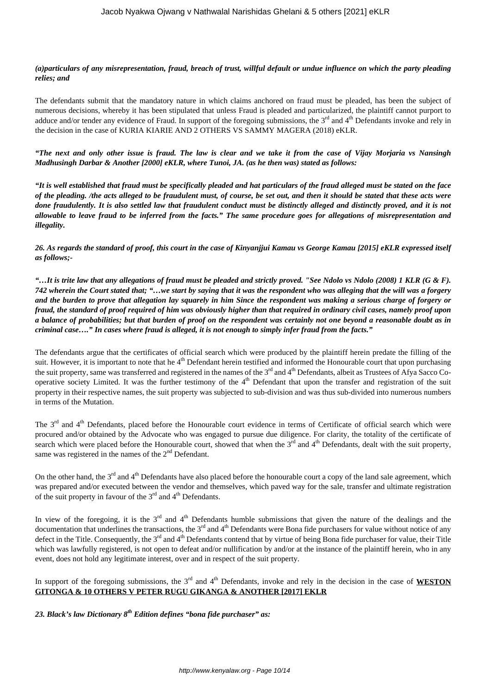## *(a)particulars of any misrepresentation, fraud, breach of trust, willful default or undue influence on which the party pleading relies; and*

The defendants submit that the mandatory nature in which claims anchored on fraud must be pleaded, has been the subject of numerous decisions, whereby it has been stipulated that unless Fraud is pleaded and particularized, the plaintiff cannot purport to adduce and/or tender any evidence of Fraud. In support of the foregoing submissions, the 3<sup>rd</sup> and 4<sup>th</sup> Defendants invoke and rely in the decision in the case of KURIA KIARIE AND 2 OTHERS VS SAMMY MAGERA (2018) eKLR.

*"The next and only other issue is fraud. The law is clear and we take it from the case of Vijay Morjaria vs Nansingh Madhusingh Darbar & Another [2000] eKLR, where Tunoi, JA. (as he then was) stated as follows:*

*"It is well established that fraud must be specifically pleaded and hat particulars of the fraud alleged must be stated on the face of the pleading. /the acts alleged to be fraudulent must, of course, be set out, and then it should be stated that these acts were done fraudulently. It is also settled law that fraudulent conduct must be distinctly alleged and distinctly proved, and it is not allowable to leave fraud to be inferred from the facts." The same procedure goes for allegations of misrepresentation and illegality.*

*26. As regards the standard of proof, this court in the case of Kinyanjjui Kamau vs George Kamau [2015] eKLR expressed itself as follows;-*

*"…It is trite law that any allegations of fraud must be pleaded and strictly proved. "See Ndolo vs Ndolo (2008) 1 KLR (G & F). 742 wherein the Court stated that; "…we start by saying that it was the respondent who was alleging that the will was a forgery and the burden to prove that allegation lay squarely in him Since the respondent was making a serious charge of forgery or fraud, the standard of proof required of him was obviously higher than that required in ordinary civil cases, namely proof upon a balance of probabilities; but that burden of proof on the respondent was certainly not one beyond a reasonable doubt as in criminal case…." In cases where fraud is alleged, it is not enough to simply infer fraud from the facts."*

The defendants argue that the certificates of official search which were produced by the plaintiff herein predate the filling of the suit. However, it is important to note that he 4<sup>th</sup> Defendant herein testified and informed the Honourable court that upon purchasing the suit property, same was transferred and registered in the names of the 3<sup>rd</sup> and 4<sup>th</sup> Defendants, albeit as Trustees of Afya Sacco Cooperative society Limited. It was the further testimony of the 4<sup>th</sup> Defendant that upon the transfer and registration of the suit property in their respective names, the suit property was subjected to sub-division and was thus sub-divided into numerous numbers in terms of the Mutation.

The  $3<sup>rd</sup>$  and  $4<sup>th</sup>$  Defendants, placed before the Honourable court evidence in terms of Certificate of official search which were procured and/or obtained by the Advocate who was engaged to pursue due diligence. For clarity, the totality of the certificate of search which were placed before the Honourable court, showed that when the  $3<sup>rd</sup>$  and  $4<sup>th</sup>$  Defendants, dealt with the suit property, same was registered in the names of the  $2<sup>nd</sup>$  Defendant.

On the other hand, the 3<sup>rd</sup> and 4<sup>th</sup> Defendants have also placed before the honourable court a copy of the land sale agreement, which was prepared and/or executed between the vendor and themselves, which paved way for the sale, transfer and ultimate registration of the suit property in favour of the  $3<sup>rd</sup>$  and  $4<sup>th</sup>$  Defendants.

In view of the foregoing, it is the  $3<sup>rd</sup>$  and  $4<sup>th</sup>$  Defendants humble submissions that given the nature of the dealings and the documentation that underlines the transactions, the  $3<sup>rd</sup>$  and  $4<sup>th</sup>$  Defendants were Bona fide purchasers for value without notice of any defect in the Title. Consequently, the  $3^{rd}$  and  $4^{th}$  Defendants contend that by virtue of being Bona fide purchaser for value, their Title which was lawfully registered, is not open to defeat and/or nullification by and/or at the instance of the plaintiff herein, who in any event, does not hold any legitimate interest, over and in respect of the suit property.

In support of the foregoing submissions, the  $3<sup>rd</sup>$  and  $4<sup>th</sup>$  Defendants, invoke and rely in the decision in the case of **WESTON GITONGA & 10 OTHERS V PETER RUGU GIKANGA & ANOTHER [2017] EKLR**

*23. Black's law Dictionary 8th Edition defines "bona fide purchaser" as:*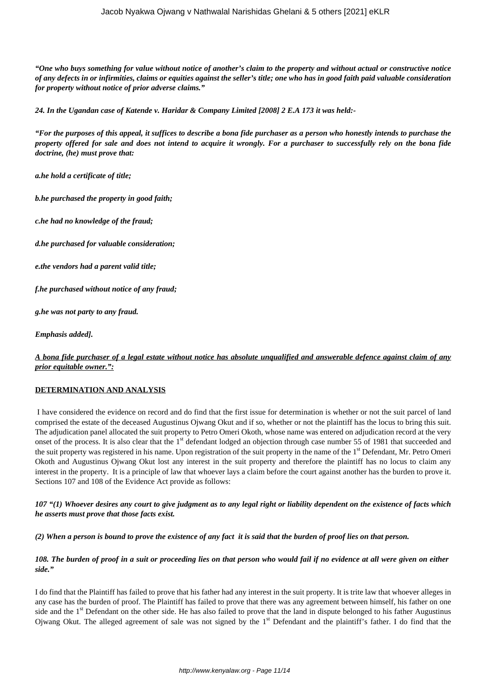*"One who buys something for value without notice of another's claim to the property and without actual or constructive notice of any defects in or infirmities, claims or equities against the seller's title; one who has in good faith paid valuable consideration for property without notice of prior adverse claims."*

*24. In the Ugandan case of Katende v. Haridar & Company Limited [2008] 2 E.A 173 it was held:-*

*"For the purposes of this appeal, it suffices to describe a bona fide purchaser as a person who honestly intends to purchase the property offered for sale and does not intend to acquire it wrongly. For a purchaser to successfully rely on the bona fide doctrine, (he) must prove that:*

*a.he hold a certificate of title;*

*b.he purchased the property in good faith;*

*c.he had no knowledge of the fraud;*

*d.he purchased for valuable consideration;*

*e.the vendors had a parent valid title;*

*f.he purchased without notice of any fraud;*

*g.he was not party to any fraud.*

*Emphasis added].*

*A bona fide purchaser of a legal estate without notice has absolute unqualified and answerable defence against claim of any prior equitable owner.":*

## **DETERMINATION AND ANALYSIS**

I have considered the evidence on record and do find that the first issue for determination is whether or not the suit parcel of land comprised the estate of the deceased Augustinus Ojwang Okut and if so, whether or not the plaintiff has the locus to bring this suit. The adjudication panel allocated the suit property to Petro Omeri Okoth, whose name was entered on adjudication record at the very onset of the process. It is also clear that the 1<sup>st</sup> defendant lodged an objection through case number 55 of 1981 that succeeded and the suit property was registered in his name. Upon registration of the suit property in the name of the 1<sup>st</sup> Defendant, Mr. Petro Omeri Okoth and Augustinus Ojwang Okut lost any interest in the suit property and therefore the plaintiff has no locus to claim any interest in the property. It is a principle of law that whoever lays a claim before the court against another has the burden to prove it. Sections 107 and 108 of the Evidence Act provide as follows:

*107 "(1) Whoever desires any court to give judgment as to any legal right or liability dependent on the existence of facts which he asserts must prove that those facts exist.*

*(2) When a person is bound to prove the existence of any fact it is said that the burden of proof lies on that person.*

## *108. The burden of proof in a suit or proceeding lies on that person who would fail if no evidence at all were given on either side."*

I do find that the Plaintiff has failed to prove that his father had any interest in the suit property. It is trite law that whoever alleges in any case has the burden of proof. The Plaintiff has failed to prove that there was any agreement between himself, his father on one side and the 1<sup>st</sup> Defendant on the other side. He has also failed to prove that the land in dispute belonged to his father Augustinus Ojwang Okut. The alleged agreement of sale was not signed by the 1<sup>st</sup> Defendant and the plaintiff's father. I do find that the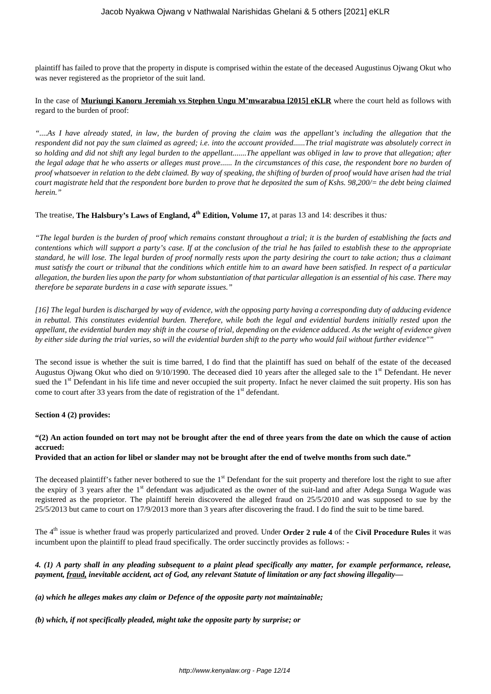plaintiff has failed to prove that the property in dispute is comprised within the estate of the deceased Augustinus Ojwang Okut who was never registered as the proprietor of the suit land.

In the case of **Muriungi Kanoru Jeremiah vs Stephen Ungu M'mwarabua [2015] eKLR** where the court held as follows with regard to the burden of proof:

*"....As I have already stated, in law, the burden of proving the claim was the appellant's including the allegation that the respondent did not pay the sum claimed as agreed; i.e. into the account provided......The trial magistrate was absolutely correct in so holding and did not shift any legal burden to the appellant.......The appellant was obliged in law to prove that allegation; after the legal adage that he who asserts or alleges must prove...... In the circumstances of this case, the respondent bore no burden of proof whatsoever in relation to the debt claimed. By way of speaking, the shifting of burden of proof would have arisen had the trial court magistrate held that the respondent bore burden to prove that he deposited the sum of Kshs. 98,200/= the debt being claimed herein."*

The treatise, **The Halsbury's Laws of England, 4th Edition, Volume 17,** at paras 13 and 14: describes it thus*:*

*"The legal burden is the burden of proof which remains constant throughout a trial; it is the burden of establishing the facts and contentions which will support a party's case. If at the conclusion of the trial he has failed to establish these to the appropriate standard, he will lose. The legal burden of proof normally rests upon the party desiring the court to take action; thus a claimant must satisfy the court or tribunal that the conditions which entitle him to an award have been satisfied. In respect of a particular allegation, the burden lies upon the party for whom substantiation of that particular allegation is an essential of his case. There may therefore be separate burdens in a case with separate issues."*

*[16] The legal burden is discharged by way of evidence, with the opposing party having a corresponding duty of adducing evidence in rebuttal. This constitutes evidential burden. Therefore, while both the legal and evidential burdens initially rested upon the appellant, the evidential burden may shift in the course of trial, depending on the evidence adduced. As the weight of evidence given by either side during the trial varies, so will the evidential burden shift to the party who would fail without further evidence""*

The second issue is whether the suit is time barred, I do find that the plaintiff has sued on behalf of the estate of the deceased Augustus Ojwang Okut who died on  $9/10/1990$ . The deceased died 10 years after the alleged sale to the  $1<sup>st</sup>$  Defendant. He never sued the 1<sup>st</sup> Defendant in his life time and never occupied the suit property. Infact he never claimed the suit property. His son has come to court after 33 years from the date of registration of the  $1<sup>st</sup>$  defendant.

**Section 4 (2) provides:**

## **"(2) An action founded on tort may not be brought after the end of three years from the date on which the cause of action accrued:**

**Provided that an action for libel or slander may not be brought after the end of twelve months from such date."**

The deceased plaintiff's father never bothered to sue the 1<sup>st</sup> Defendant for the suit property and therefore lost the right to sue after the expiry of 3 years after the 1<sup>st</sup> defendant was adjudicated as the owner of the suit-land and after Adega Sunga Wagude was registered as the proprietor. The plaintiff herein discovered the alleged fraud on 25/5/2010 and was supposed to sue by the 25/5/2013 but came to court on 17/9/2013 more than 3 years after discovering the fraud. I do find the suit to be time bared.

The 4<sup>th</sup> issue is whether fraud was properly particularized and proved. Under **Order 2 rule 4** of the **Civil Procedure Rules** it was incumbent upon the plaintiff to plead fraud specifically. The order succinctly provides as follows: -

## *4. (1) A party shall in any pleading subsequent to a plaint plead specifically any matter, for example performance, release, payment, fraud, inevitable accident, act of God, any relevant Statute of limitation or any fact showing illegality—*

*(a) which he alleges makes any claim or Defence of the opposite party not maintainable;*

*(b) which, if not specifically pleaded, might take the opposite party by surprise; or*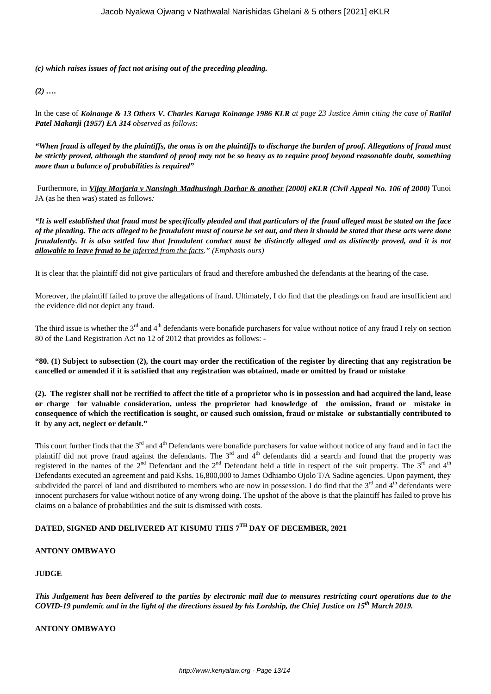*(c) which raises issues of fact not arising out of the preceding pleading.*

## *(2) ….*

In the case of *Koinange & 13 Others V. Charles Karuga Koinange 1986 KLR at page 23 Justice Amin citing the case of Ratilal Patel Makanji (1957) EA 314 observed as follows:*

*"When fraud is alleged by the plaintiffs, the onus is on the plaintiffs to discharge the burden of proof. Allegations of fraud must be strictly proved, although the standard of proof may not be so heavy as to require proof beyond reasonable doubt, something more than a balance of probabilities is required"*

Furthermore, in *Vijay Morjaria v Nansingh Madhusingh Darbar & another [2000] eKLR (Civil Appeal No. 106 of 2000)* Tunoi JA (as he then was) stated as follows*:*

*"It is well established that fraud must be specifically pleaded and that particulars of the fraud alleged must be stated on the face of the pleading. The acts alleged to be fraudulent must of course be set out, and then it should be stated that these acts were done fraudulently. It is also settled law that fraudulent conduct must be distinctly alleged and as distinctly proved, and it is not allowable to leave fraud to be inferred from the facts." (Emphasis ours)*

It is clear that the plaintiff did not give particulars of fraud and therefore ambushed the defendants at the hearing of the case.

Moreover, the plaintiff failed to prove the allegations of fraud. Ultimately, I do find that the pleadings on fraud are insufficient and the evidence did not depict any fraud.

The third issue is whether the  $3<sup>rd</sup>$  and  $4<sup>th</sup>$  defendants were bonafide purchasers for value without notice of any fraud I rely on section 80 of the Land Registration Act no 12 of 2012 that provides as follows: -

**"80. (1) Subject to subsection (2), the court may order the rectification of the register by directing that any registration be cancelled or amended if it is satisfied that any registration was obtained, made or omitted by fraud or mistake**

**(2). The register shall not be rectified to affect the title of a proprietor who is in possession and had acquired the land, lease or charge for valuable consideration, unless the proprietor had knowledge of the omission, fraud or mistake in consequence of which the rectification is sought, or caused such omission, fraud or mistake or substantially contributed to it by any act, neglect or default."**

This court further finds that the 3<sup>rd</sup> and 4<sup>th</sup> Defendants were bonafide purchasers for value without notice of any fraud and in fact the plaintiff did not prove fraud against the defendants. The  $3<sup>rd</sup>$  and  $4<sup>th</sup>$  defendants did a search and found that the property was registered in the names of the 2<sup>nd</sup> Defendant and the 2<sup>nd</sup> Defendant held a title in respect of the suit property. The 3<sup>rd</sup> and 4<sup>th</sup> Defendants executed an agreement and paid Kshs. 16,800,000 to James Odhiambo Ojolo T/A Sadine agencies. Upon payment, they subdivided the parcel of land and distributed to members who are now in possession. I do find that the  $3<sup>rd</sup>$  and  $4<sup>th</sup>$  defendants were innocent purchasers for value without notice of any wrong doing. The upshot of the above is that the plaintiff has failed to prove his claims on a balance of probabilities and the suit is dismissed with costs.

# **DATED, SIGNED AND DELIVERED AT KISUMU THIS 7TH DAY OF DECEMBER, 2021**

## **ANTONY OMBWAYO**

#### **JUDGE**

*This Judgement has been delivered to the parties by electronic mail due to measures restricting court operations due to the COVID-19 pandemic and in the light of the directions issued by his Lordship, the Chief Justice on 15th March 2019.*

#### **ANTONY OMBWAYO**